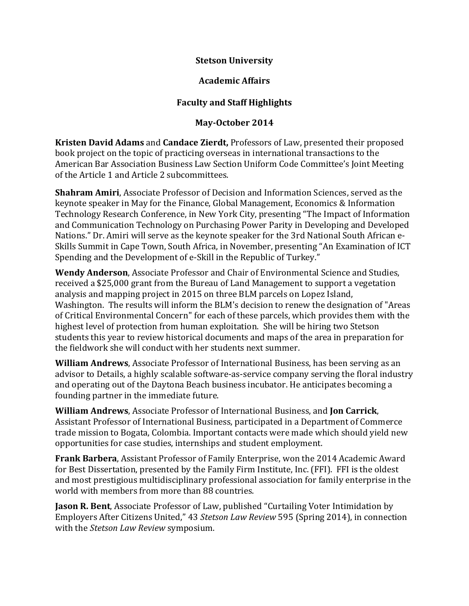## **Stetson University**

## **Academic Affairs**

## **Faculty and Staff Highlights**

## **May-October 2014**

**Kristen David Adams** and **Candace Zierdt,** Professors of Law, presented their proposed book project on the topic of practicing overseas in international transactions to the American Bar Association Business Law Section Uniform Code Committee's Joint Meeting of the Article 1 and Article 2 subcommittees.

**Shahram Amiri**, Associate Professor of Decision and Information Sciences, served as the keynote speaker in May for the Finance, Global Management, Economics & Information Technology Research Conference, in New York City, presenting "The Impact of Information and Communication Technology on Purchasing Power Parity in Developing and Developed Nations." Dr. Amiri will serve as the keynote speaker for the 3rd National South African e-Skills Summit in Cape Town, South Africa, in November, presenting "An Examination of ICT Spending and the Development of e-Skill in the Republic of Turkey."

**Wendy Anderson**, Associate Professor and Chair of Environmental Science and Studies, received a \$25,000 grant from the Bureau of Land Management to support a vegetation analysis and mapping project in 2015 on three BLM parcels on Lopez Island, Washington. The results will inform the BLM's decision to renew the designation of "Areas of Critical Environmental Concern" for each of these parcels, which provides them with the highest level of protection from human exploitation. She will be hiring two Stetson students this year to review historical documents and maps of the area in preparation for the fieldwork she will conduct with her students next summer.

**William Andrews**, Associate Professor of International Business, has been serving as an advisor to Details, a highly scalable software-as-service company serving the floral industry and operating out of the Daytona Beach business incubator. He anticipates becoming a founding partner in the immediate future.

**William Andrews**, Associate Professor of International Business, and **Jon Carrick**, Assistant Professor of International Business, participated in a Department of Commerce trade mission to Bogata, Colombia. Important contacts were made which should yield new opportunities for case studies, internships and student employment.

**Frank Barbera**, Assistant Professor of Family Enterprise, won the 2014 Academic Award for Best Dissertation, presented by the Family Firm Institute, Inc. (FFI). FFI is the oldest and most prestigious multidisciplinary professional association for family enterprise in the world with members from more than 88 countries.

**Jason R. Bent**, Associate Professor of Law, published "Curtailing Voter Intimidation by Employers After Citizens United," 43 *Stetson Law Review* 595 (Spring 2014), in connection with the *Stetson Law Review* symposium.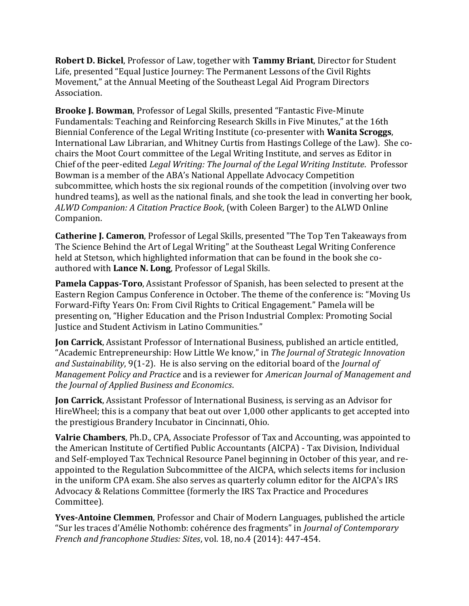**Robert D. Bickel**, Professor of Law, together with **Tammy Briant**, Director for Student Life, presented "Equal Justice Journey: The Permanent Lessons of the Civil Rights Movement," at the Annual Meeting of the Southeast Legal Aid Program Directors Association.

**Brooke J. Bowman**, Professor of Legal Skills, presented "Fantastic Five-Minute Fundamentals: Teaching and Reinforcing Research Skills in Five Minutes," at the 16th Biennial Conference of the Legal Writing Institute (co-presenter with **Wanita Scroggs**, International Law Librarian, and Whitney Curtis from Hastings College of the Law). She cochairs the Moot Court committee of the Legal Writing Institute, and serves as Editor in Chief of the peer-edited *Legal Writing: The Journal of the Legal Writing Institute*. Professor Bowman is a member of the ABA's National Appellate Advocacy Competition subcommittee, which hosts the six regional rounds of the competition (involving over two hundred teams), as well as the national finals, and she took the lead in converting her book, *ALWD Companion: A Citation Practice Book*, (with Coleen Barger) to the ALWD Online Companion.

**Catherine J. Cameron**, Professor of Legal Skills, presented "The Top Ten Takeaways from The Science Behind the Art of Legal Writing" at the Southeast Legal Writing Conference held at Stetson, which highlighted information that can be found in the book she coauthored with **Lance N. Long**, Professor of Legal Skills.

**Pamela Cappas-Toro**, Assistant Professor of Spanish, has been selected to present at the Eastern Region Campus Conference in October. The theme of the conference is: "Moving Us Forward-Fifty Years On: From Civil Rights to Critical Engagement." Pamela will be presenting on, "Higher Education and the Prison Industrial Complex: Promoting Social Justice and Student Activism in Latino Communities."

**Jon Carrick**, Assistant Professor of International Business, published an article entitled, "Academic Entrepreneurship: How Little We know," in *The Journal of Strategic Innovation and Sustainability*, 9(1-2). He is also serving on the editorial board of the *Journal of Management Policy and Practice* and is a reviewer for *American Journal of Management and the Journal of Applied Business and Economics*.

**Jon Carrick**, Assistant Professor of International Business, is serving as an Advisor for HireWheel; this is a company that beat out over 1,000 other applicants to get accepted into the prestigious Brandery Incubator in Cincinnati, Ohio.

**Valrie Chambers**, Ph.D., CPA, Associate Professor of Tax and Accounting, was appointed to the American Institute of Certified Public Accountants (AICPA) - Tax Division, Individual and Self-employed Tax Technical Resource Panel beginning in October of this year, and reappointed to the Regulation Subcommittee of the AICPA, which selects items for inclusion in the uniform CPA exam. She also serves as quarterly column editor for the AICPA's IRS Advocacy & Relations Committee (formerly the IRS Tax Practice and Procedures Committee).

**Yves-Antoine Clemmen**, Professor and Chair of Modern Languages, published the article "Sur les traces d'Amélie Nothomb: cohérence des fragments" in *Journal of Contemporary French and francophone Studies: Sites*, vol. 18, no.4 (2014): 447-454.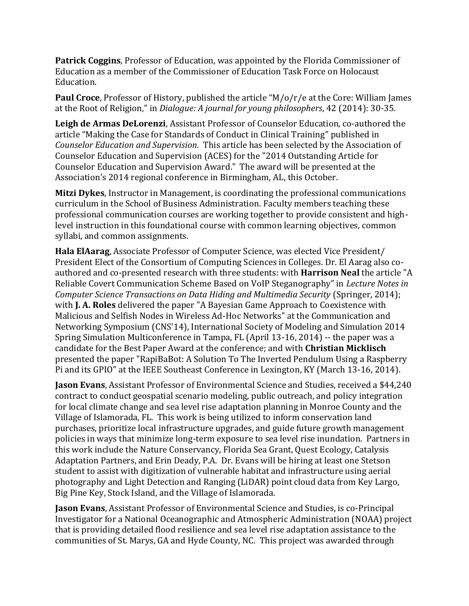**Patrick Coggins**, Professor of Education, was appointed by the Florida Commissioner of Education as a member of the Commissioner of Education Task Force on Holocaust Education.

**Paul Croce**, Professor of History, published the article "M/o/r/e at the Core: William James at the Root of Religion," in *Dialogue: A journal for young philosophers*, 42 (2014): 30-35.

**Leigh de Armas DeLorenzi**, Assistant Professor of Counselor Education, co-authored the article "Making the Case for Standards of Conduct in Clinical Training" published in *Counselor Education and Supervision*. This article has been selected by the Association of Counselor Education and Supervision (ACES) for the "2014 Outstanding Article for Counselor Education and Supervision Award." The award will be presented at the Association's 2014 regional conference in Birmingham, AL, this October.

**Mitzi Dykes**, Instructor in Management, is coordinating the professional communications curriculum in the School of Business Administration. Faculty members teaching these professional communication courses are working together to provide consistent and highlevel instruction in this foundational course with common learning objectives, common syllabi, and common assignments.

**Hala ElAarag**, Associate Professor of Computer Science, was elected Vice President/ President Elect of the Consortium of Computing Sciences in Colleges. Dr. El Aarag also coauthored and co-presented research with three students: with **Harrison Neal** the article "A Reliable Covert Communication Scheme Based on VoIP Steganography" in *Lecture Notes in Computer Science Transactions on Data Hiding and Multimedia Security* (Springer, 2014); with **J. A. Roles** delivered the paper "A Bayesian Game Approach to Coexistence with Malicious and Selfish Nodes in Wireless Ad-Hoc Networks" at the Communication and Networking Symposium (CNS'14), International Society of Modeling and Simulation 2014 Spring Simulation Multiconference in Tampa, FL (April 13-16, 2014) -- the paper was a candidate for the Best Paper Award at the conference; and with **Christian Micklisch** presented the paper "RapiBaBot: A Solution To The Inverted Pendulum Using a Raspberry Pi and its GPIO" at the IEEE Southeast Conference in Lexington, KY (March 13-16, 2014).

**Jason Evans**, Assistant Professor of Environmental Science and Studies, received a \$44,240 contract to conduct geospatial scenario modeling, public outreach, and policy integration for local climate change and sea level rise adaptation planning in Monroe County and the Village of Islamorada, FL. This work is being utilized to inform conservation land purchases, prioritize local infrastructure upgrades, and guide future growth management policies in ways that minimize long-term exposure to sea level rise inundation. Partners in this work include the Nature Conservancy, Florida Sea Grant, Quest Ecology, Catalysis Adaptation Partners, and Erin Deady, P.A. Dr. Evans will be hiring at least one Stetson student to assist with digitization of vulnerable habitat and infrastructure using aerial photography and Light Detection and Ranging (LiDAR) point cloud data from Key Largo, Big Pine Key, Stock Island, and the Village of Islamorada.

**Jason Evans**, Assistant Professor of Environmental Science and Studies, is co-Principal Investigator for a National Oceanographic and Atmospheric Administration (NOAA) project that is providing detailed flood resilience and sea level rise adaptation assistance to the communities of St. Marys, GA and Hyde County, NC. This project was awarded through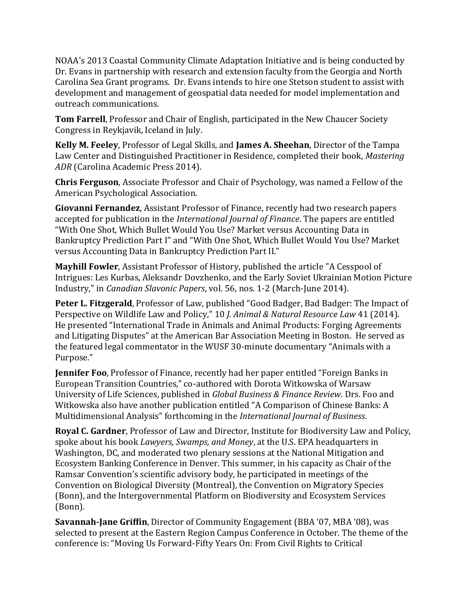NOAA's 2013 Coastal Community Climate Adaptation Initiative and is being conducted by Dr. Evans in partnership with research and extension faculty from the Georgia and North Carolina Sea Grant programs. Dr. Evans intends to hire one Stetson student to assist with development and management of geospatial data needed for model implementation and outreach communications.

**Tom Farrell**, Professor and Chair of English, participated in the New Chaucer Society Congress in Reykjavik, Iceland in July.

**Kelly M. Feeley**, Professor of Legal Skills, and **James A. Sheehan**, Director of the Tampa Law Center and Distinguished Practitioner in Residence, completed their book, *Mastering ADR* (Carolina Academic Press 2014).

**Chris Ferguson**, Associate Professor and Chair of Psychology, was named a Fellow of the American Psychological Association.

**Giovanni Fernandez**, Assistant Professor of Finance, recently had two research papers accepted for publication in the *International Journal of Finance*. The papers are entitled "With One Shot, Which Bullet Would You Use? Market versus Accounting Data in Bankruptcy Prediction Part I" and "With One Shot, Which Bullet Would You Use? Market versus Accounting Data in Bankruptcy Prediction Part II."

**Mayhill Fowler**, Assistant Professor of History, published the article "A Cesspool of Intrigues: Les Kurbas, Aleksandr Dovzhenko, and the Early Soviet Ukrainian Motion Picture Industry," in *Canadian Slavonic Papers*, vol. 56, nos. 1-2 (March-June 2014).

**Peter L. Fitzgerald**, Professor of Law, published "Good Badger, Bad Badger: The Impact of Perspective on Wildlife Law and Policy," 10 *J. Animal & Natural Resource Law* 41 (2014). He presented "International Trade in Animals and Animal Products: Forging Agreements and Litigating Disputes" at the American Bar Association Meeting in Boston. He served as the featured legal commentator in the WUSF 30-minute documentary "Animals with a Purpose."

**Jennifer Foo**, Professor of Finance, recently had her paper entitled "Foreign Banks in European Transition Countries," co-authored with Dorota Witkowska of Warsaw University of Life Sciences, published in *Global Business & Finance Review*. Drs. Foo and Witkowska also have another publication entitled "A Comparison of Chinese Banks: A Multidimensional Analysis" forthcoming in the *International Journal of Business*.

**Royal C. Gardner**, Professor of Law and Director, Institute for Biodiversity Law and Policy, spoke about his book *Lawyers, Swamps, and Money*, at the U.S. EPA headquarters in Washington, DC, and moderated two plenary sessions at the National Mitigation and Ecosystem Banking Conference in Denver. This summer, in his capacity as Chair of the Ramsar Convention's scientific advisory body, he participated in meetings of the Convention on Biological Diversity (Montreal), the Convention on Migratory Species (Bonn), and the Intergovernmental Platform on Biodiversity and Ecosystem Services (Bonn).

**Savannah-Jane Griffin**, Director of Community Engagement (BBA '07, MBA '08), was selected to present at the Eastern Region Campus Conference in October. The theme of the conference is: "Moving Us Forward-Fifty Years On: From Civil Rights to Critical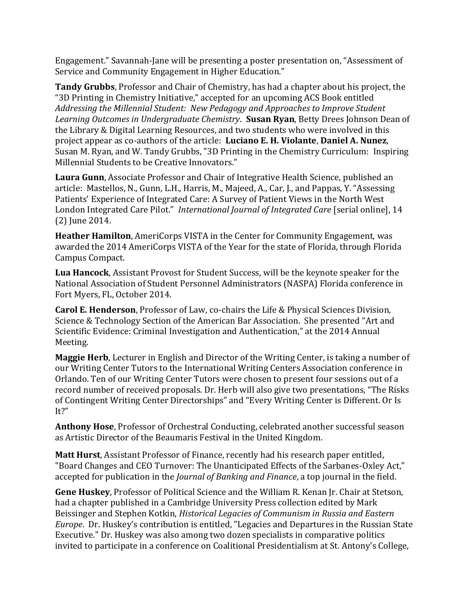Engagement." Savannah-Jane will be presenting a poster presentation on, "Assessment of Service and Community Engagement in Higher Education."

**Tandy Grubbs**, Professor and Chair of Chemistry, has had a chapter about his project, the "3D Printing in Chemistry Initiative," accepted for an upcoming ACS Book entitled *Addressing the Millennial Student: New Pedagogy and Approaches to Improve Student Learning Outcomes in Undergraduate Chemistry*. **Susan Ryan**, Betty Drees Johnson Dean of the Library & Digital Learning Resources, and two students who were involved in this project appear as co-authors of the article: **Luciano E. H. Violante**, **Daniel A. Nunez**, Susan M. Ryan, and W. Tandy Grubbs, "3D Printing in the Chemistry Curriculum: Inspiring Millennial Students to be Creative Innovators."

**Laura Gunn**, Associate Professor and Chair of Integrative Health Science, published an article: Mastellos, N., Gunn, L.H., Harris, M., Majeed, A., Car, J., and Pappas, Y. "Assessing Patients' Experience of Integrated Care: A Survey of Patient Views in the North West London Integrated Care Pilot." *International Journal of Integrated Care* [serial online], 14 (2) June 2014.

**Heather Hamilton**, AmeriCorps VISTA in the Center for Community Engagement, was awarded the 2014 AmeriCorps VISTA of the Year for the state of Florida, through Florida Campus Compact.

**Lua Hancock**, Assistant Provost for Student Success, will be the keynote speaker for the National Association of Student Personnel Administrators (NASPA) Florida conference in Fort Myers, FL, October 2014.

**Carol E. Henderson**, Professor of Law, co-chairs the Life & Physical Sciences Division, Science & Technology Section of the American Bar Association. She presented "Art and Scientific Evidence: Criminal Investigation and Authentication," at the 2014 Annual Meeting.

**Maggie Herb**, Lecturer in English and Director of the Writing Center, is taking a number of our Writing Center Tutors to the International Writing Centers Association conference in Orlando. Ten of our Writing Center Tutors were chosen to present four sessions out of a record number of received proposals. Dr. Herb will also give two presentations, "The Risks of Contingent Writing Center Directorships" and "Every Writing Center is Different. Or Is It?"

**Anthony Hose**, Professor of Orchestral Conducting, celebrated another successful season as Artistic Director of the Beaumaris Festival in the United Kingdom.

**Matt Hurst**, Assistant Professor of Finance, recently had his research paper entitled, "Board Changes and CEO Turnover: The Unanticipated Effects of the Sarbanes-Oxley Act," accepted for publication in the *Journal of Banking and Finance*, a top journal in the field.

**Gene Huskey**, Professor of Political Science and the William R. Kenan Jr. Chair at Stetson, had a chapter published in a Cambridge University Press collection edited by Mark Beissinger and Stephen Kotkin, *Historical Legacies of Communism in Russia and Eastern Europe*. Dr. Huskey's contribution is entitled, "Legacies and Departures in the Russian State Executive." Dr. Huskey was also among two dozen specialists in comparative politics invited to participate in a conference on Coalitional Presidentialism at St. Antony's College,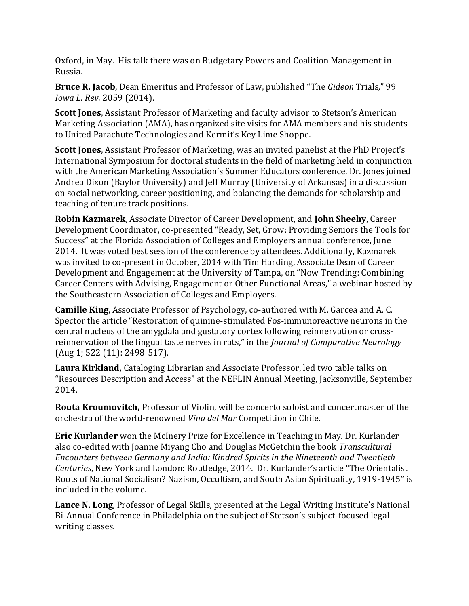Oxford, in May. His talk there was on Budgetary Powers and Coalition Management in Russia.

**Bruce R. Jacob**, Dean Emeritus and Professor of Law, published "The *Gideon* Trials," 99 *Iowa L. Rev.* 2059 (2014).

**Scott Jones**, Assistant Professor of Marketing and faculty advisor to Stetson's American Marketing Association (AMA), has organized site visits for AMA members and his students to United Parachute Technologies and Kermit's Key Lime Shoppe.

**Scott Jones**, Assistant Professor of Marketing, was an invited panelist at the PhD Project's International Symposium for doctoral students in the field of marketing held in conjunction with the American Marketing Association's Summer Educators conference. Dr. Jones joined Andrea Dixon (Baylor University) and Jeff Murray (University of Arkansas) in a discussion on social networking, career positioning, and balancing the demands for scholarship and teaching of tenure track positions.

**Robin Kazmarek**, Associate Director of Career Development, and **John Sheehy**, Career Development Coordinator, co-presented "Ready, Set, Grow: Providing Seniors the Tools for Success" at the Florida Association of Colleges and Employers annual conference, June 2014. It was voted best session of the conference by attendees. Additionally, Kazmarek was invited to co-present in October, 2014 with Tim Harding, Associate Dean of Career Development and Engagement at the University of Tampa, on "Now Trending: Combining Career Centers with Advising, Engagement or Other Functional Areas," a webinar hosted by the Southeastern Association of Colleges and Employers.

**Camille King**, Associate Professor of Psychology, co-authored with M. Garcea and A. C. Spector the article "Restoration of quinine-stimulated Fos-immunoreactive neurons in the central nucleus of the amygdala and gustatory cortex following reinnervation or crossreinnervation of the lingual taste nerves in rats," in the *Journal of Comparative Neurology* (Aug 1; 522 (11): 2498-517).

**Laura Kirkland,** Cataloging Librarian and Associate Professor, led two table talks on "Resources Description and Access" at the NEFLIN Annual Meeting, Jacksonville, September 2014.

**Routa Kroumovitch,** Professor of Violin, will be concerto soloist and concertmaster of the orchestra of the world-renowned *Vina del Mar* Competition in Chile.

**Eric Kurlander** won the McInery Prize for Excellence in Teaching in May. Dr. Kurlander also co-edited with Joanne Miyang Cho and Douglas McGetchin the book *Transcultural Encounters between Germany and India: Kindred Spirits in the Nineteenth and Twentieth Centuries*, New York and London: Routledge, 2014. Dr. Kurlander's article "The Orientalist Roots of National Socialism? Nazism, Occultism, and South Asian Spirituality, 1919-1945" is included in the volume.

**Lance N. Long**, Professor of Legal Skills, presented at the Legal Writing Institute's National Bi-Annual Conference in Philadelphia on the subject of Stetson's subject-focused legal writing classes.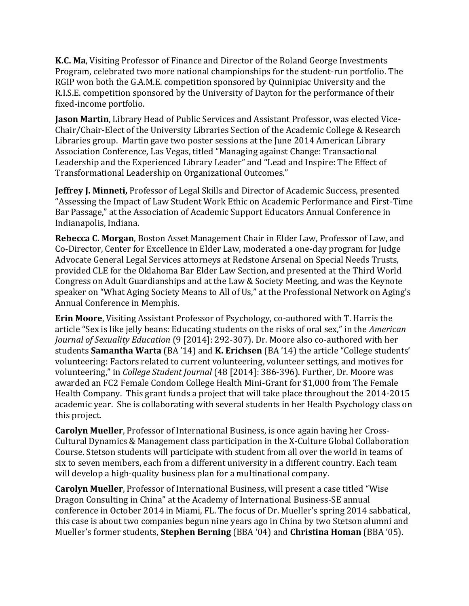**K.C. Ma**, Visiting Professor of Finance and Director of the Roland George Investments Program, celebrated two more national championships for the student-run portfolio. The RGIP won both the G.A.M.E. competition sponsored by Quinnipiac University and the R.I.S.E. competition sponsored by the University of Dayton for the performance of their fixed-income portfolio.

**Jason Martin**, Library Head of Public Services and Assistant Professor, was elected Vice-Chair/Chair-Elect of the University Libraries Section of the Academic College & Research Libraries group. Martin gave two poster sessions at the June 2014 American Library Association Conference, Las Vegas, titled "Managing against Change: Transactional Leadership and the Experienced Library Leader" and "Lead and Inspire: The Effect of Transformational Leadership on Organizational Outcomes."

**Jeffrey J. Minneti,** Professor of Legal Skills and Director of Academic Success, presented "Assessing the Impact of Law Student Work Ethic on Academic Performance and First-Time Bar Passage," at the Association of Academic Support Educators Annual Conference in Indianapolis, Indiana.

**Rebecca C. Morgan**, Boston Asset Management Chair in Elder Law, Professor of Law, and Co-Director, Center for Excellence in Elder Law, moderated a one-day program for Judge Advocate General Legal Services attorneys at Redstone Arsenal on Special Needs Trusts, provided CLE for the Oklahoma Bar Elder Law Section, and presented at the Third World Congress on Adult Guardianships and at the Law & Society Meeting, and was the Keynote speaker on "What Aging Society Means to All of Us," at the Professional Network on Aging's Annual Conference in Memphis.

**Erin Moore**, Visiting Assistant Professor of Psychology, co-authored with T. Harris the article "Sex is like jelly beans: Educating students on the risks of oral sex," in the *American Journal of Sexuality Education* (9 [2014]: 292-307). Dr. Moore also co-authored with her students **Samantha Warta** (BA '14) and **K. Erichsen** (BA '14) the article "College students' volunteering: Factors related to current volunteering, volunteer settings, and motives for volunteering," in *College Student Journal* (48 [2014]: 386-396). Further, Dr. Moore was awarded an FC2 Female Condom College Health Mini-Grant for \$1,000 from The Female Health Company. This grant funds a project that will take place throughout the 2014-2015 academic year. She is collaborating with several students in her Health Psychology class on this project.

**Carolyn Mueller**, Professor of International Business, is once again having her Cross-Cultural Dynamics & Management class participation in the X-Culture Global Collaboration Course. Stetson students will participate with student from all over the world in teams of six to seven members, each from a different university in a different country. Each team will develop a high-quality business plan for a multinational company.

**Carolyn Mueller**, Professor of International Business, will present a case titled "Wise Dragon Consulting in China" at the Academy of International Business-SE annual conference in October 2014 in Miami, FL. The focus of Dr. Mueller's spring 2014 sabbatical, this case is about two companies begun nine years ago in China by two Stetson alumni and Mueller's former students, **Stephen Berning** (BBA '04) and **Christina Homan** (BBA '05).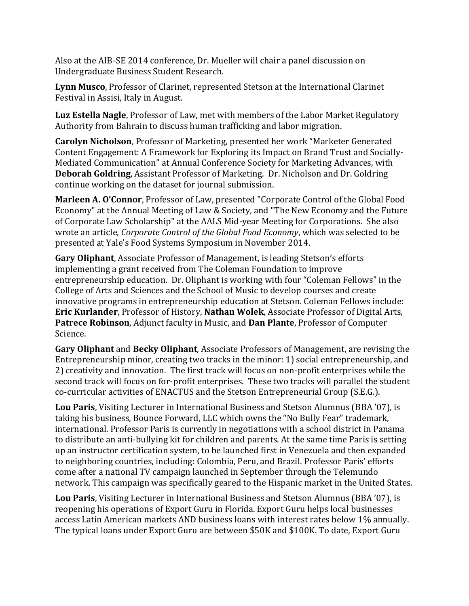Also at the AIB-SE 2014 conference, Dr. Mueller will chair a panel discussion on Undergraduate Business Student Research.

**Lynn Musco**, Professor of Clarinet, represented Stetson at the International Clarinet Festival in Assisi, Italy in August.

**Luz Estella Nagle**, Professor of Law, met with members of the Labor Market Regulatory Authority from Bahrain to discuss human trafficking and labor migration.

**Carolyn Nicholson**, Professor of Marketing, presented her work "Marketer Generated Content Engagement: A Framework for Exploring its Impact on Brand Trust and Socially-Mediated Communication" at Annual Conference Society for Marketing Advances, with **Deborah Goldring**, Assistant Professor of Marketing. Dr. Nicholson and Dr. Goldring continue working on the dataset for journal submission.

**Marleen A. O'Connor**, Professor of Law, presented "Corporate Control of the Global Food Economy" at the Annual Meeting of Law & Society, and "The New Economy and the Future of Corporate Law Scholarship" at the AALS Mid-year Meeting for Corporations. She also wrote an article, *Corporate Control of the Global Food Economy*, which was selected to be presented at Yale's Food Systems Symposium in November 2014.

**Gary Oliphant**, Associate Professor of Management, is leading Stetson's efforts implementing a grant received from The Coleman Foundation to improve entrepreneurship education. Dr. Oliphant is working with four "Coleman Fellows" in the College of Arts and Sciences and the School of Music to develop courses and create innovative programs in entrepreneurship education at Stetson. Coleman Fellows include: **Eric Kurlander**, Professor of History, **Nathan Wolek**, Associate Professor of Digital Arts, **Patrece Robinson**, Adjunct faculty in Music, and **Dan Plante**, Professor of Computer Science.

**Gary Oliphant** and **Becky Oliphant**, Associate Professors of Management, are revising the Entrepreneurship minor, creating two tracks in the minor: 1) social entrepreneurship, and 2) creativity and innovation. The first track will focus on non-profit enterprises while the second track will focus on for-profit enterprises. These two tracks will parallel the student co-curricular activities of ENACTUS and the Stetson Entrepreneurial Group (S.E.G.).

**Lou Paris**, Visiting Lecturer in International Business and Stetson Alumnus (BBA '07), is taking his business, Bounce Forward, LLC which owns the "No Bully Fear" trademark, international. Professor Paris is currently in negotiations with a school district in Panama to distribute an anti-bullying kit for children and parents. At the same time Paris is setting up an instructor certification system, to be launched first in Venezuela and then expanded to neighboring countries, including: Colombia, Peru, and Brazil. Professor Paris' efforts come after a national TV campaign launched in September through the Telemundo network. This campaign was specifically geared to the Hispanic market in the United States.

**Lou Paris**, Visiting Lecturer in International Business and Stetson Alumnus (BBA '07), is reopening his operations of Export Guru in Florida. Export Guru helps local businesses access Latin American markets AND business loans with interest rates below 1% annually. The typical loans under Export Guru are between \$50K and \$100K. To date, Export Guru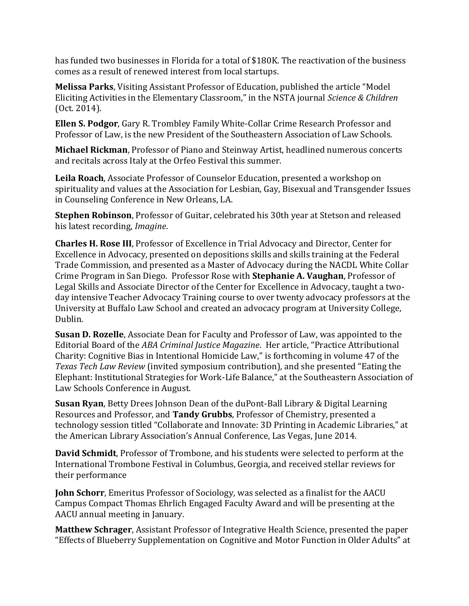has funded two businesses in Florida for a total of \$180K. The reactivation of the business comes as a result of renewed interest from local startups.

**Melissa Parks**, Visiting Assistant Professor of Education, published the article "Model Eliciting Activities in the Elementary Classroom," in the NSTA journal *Science & Children*  (Oct. 2014).

**Ellen S. Podgor**, Gary R. Trombley Family White-Collar Crime Research Professor and Professor of Law, is the new President of the Southeastern Association of Law Schools.

**Michael Rickman**, Professor of Piano and Steinway Artist, headlined numerous concerts and recitals across Italy at the Orfeo Festival this summer.

**Leila Roach**, Associate Professor of Counselor Education, presented a workshop on spirituality and values at the Association for Lesbian, Gay, Bisexual and Transgender Issues in Counseling Conference in New Orleans, LA.

**Stephen Robinson**, Professor of Guitar, celebrated his 30th year at Stetson and released his latest recording, *Imagine*.

**Charles H. Rose III**, Professor of Excellence in Trial Advocacy and Director, Center for Excellence in Advocacy, presented on depositions skills and skills training at the Federal Trade Commission, and presented as a Master of Advocacy during the NACDL White Collar Crime Program in San Diego. Professor Rose with **Stephanie A. Vaughan**, Professor of Legal Skills and Associate Director of the Center for Excellence in Advocacy, taught a twoday intensive Teacher Advocacy Training course to over twenty advocacy professors at the University at Buffalo Law School and created an advocacy program at University College, Dublin.

**Susan D. Rozelle**, Associate Dean for Faculty and Professor of Law, was appointed to the Editorial Board of the *ABA Criminal Justice Magazine*. Her article, "Practice Attributional Charity: Cognitive Bias in Intentional Homicide Law," is forthcoming in volume 47 of the *Texas Tech Law Review* (invited symposium contribution), and she presented "Eating the Elephant: Institutional Strategies for Work-Life Balance," at the Southeastern Association of Law Schools Conference in August.

**Susan Ryan**, Betty Drees Johnson Dean of the duPont-Ball Library & Digital Learning Resources and Professor, and **Tandy Grubbs**, Professor of Chemistry, presented a technology session titled "Collaborate and Innovate: 3D Printing in Academic Libraries," at the American Library Association's Annual Conference, Las Vegas, June 2014.

**David Schmidt**, Professor of Trombone, and his students were selected to perform at the International Trombone Festival in Columbus, Georgia, and received stellar reviews for their performance

**John Schorr**, Emeritus Professor of Sociology, was selected as a finalist for the AACU Campus Compact Thomas Ehrlich Engaged Faculty Award and will be presenting at the AACU annual meeting in January.

**Matthew Schrager**, Assistant Professor of Integrative Health Science, presented the paper "Effects of Blueberry Supplementation on Cognitive and Motor Function in Older Adults" at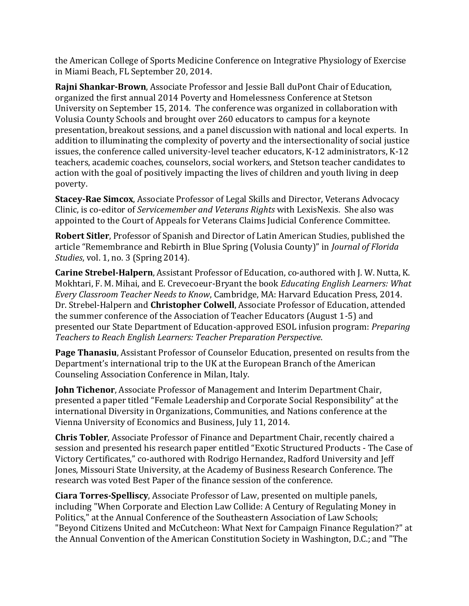the American College of Sports Medicine Conference on Integrative Physiology of Exercise in Miami Beach, FL September 20, 2014.

**Rajni Shankar-Brown**, Associate Professor and Jessie Ball duPont Chair of Education, organized the first annual 2014 Poverty and Homelessness Conference at Stetson University on September 15, 2014. The conference was organized in collaboration with Volusia County Schools and brought over 260 educators to campus for a keynote presentation, breakout sessions, and a panel discussion with national and local experts. In addition to illuminating the complexity of poverty and the intersectionality of social justice issues, the conference called university-level teacher educators, K-12 administrators, K-12 teachers, academic coaches, counselors, social workers, and Stetson teacher candidates to action with the goal of positively impacting the lives of children and youth living in deep poverty.

**Stacey-Rae Simcox**, Associate Professor of Legal Skills and Director, Veterans Advocacy Clinic, is co-editor of *Servicemember and Veterans Rights* with LexisNexis. She also was appointed to the Court of Appeals for Veterans Claims Judicial Conference Committee.

**Robert Sitler**, Professor of Spanish and Director of Latin American Studies, published the article "Remembrance and Rebirth in Blue Spring (Volusia County)" in *Journal of Florida Studies*, vol. 1, no. 3 (Spring 2014).

**Carine Strebel-Halpern**, Assistant Professor of Education, co-authored with J. W. Nutta, K. Mokhtari, F. M. Mihai, and E. Crevecoeur-Bryant the book *Educating English Learners: What Every Classroom Teacher Needs to Know*, Cambridge, MA: Harvard Education Press, 2014. Dr. Strebel-Halpern and **Christopher Colwell**, Associate Professor of Education, attended the summer conference of the Association of Teacher Educators (August 1-5) and presented our State Department of Education-approved ESOL infusion program: *Preparing Teachers to Reach English Learners: Teacher Preparation Perspective*.

**Page Thanasiu**, Assistant Professor of Counselor Education, presented on results from the Department's international trip to the UK at the European Branch of the American Counseling Association Conference in Milan, Italy.

**John Tichenor**, Associate Professor of Management and Interim Department Chair, presented a paper titled "Female Leadership and Corporate Social Responsibility" at the international Diversity in Organizations, Communities, and Nations conference at the Vienna University of Economics and Business, July 11, 2014.

**Chris Tobler**, Associate Professor of Finance and Department Chair, recently chaired a session and presented his research paper entitled "Exotic Structured Products - The Case of Victory Certificates," co-authored with Rodrigo Hernandez, Radford University and Jeff Jones, Missouri State University, at the Academy of Business Research Conference. The research was voted Best Paper of the finance session of the conference.

**Ciara Torres-Spelliscy**, Associate Professor of Law, presented on multiple panels, including "When Corporate and Election Law Collide: A Century of Regulating Money in Politics," at the Annual Conference of the Southeastern Association of Law Schools; "Beyond Citizens United and McCutcheon: What Next for Campaign Finance Regulation?" at the Annual Convention of the American Constitution Society in Washington, D.C.; and "The